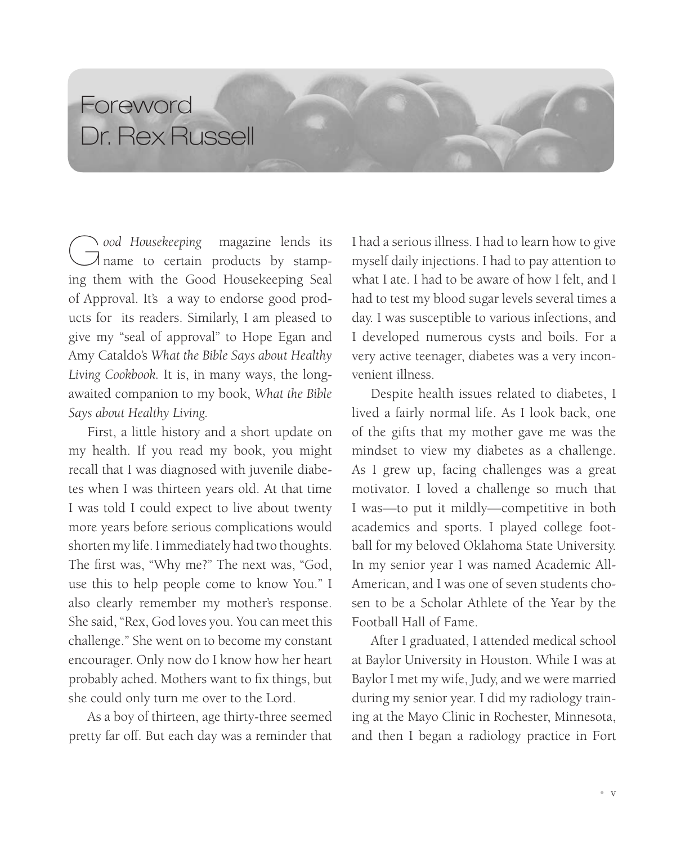# Foreword Dr. Rex Russell

G*ood Housekeeping* magazine lends its name to certain products by stamping them with the Good Housekeeping Seal of Approval. It's a way to endorse good products for its readers. Similarly, I am pleased to give my "seal of approval" to Hope Egan and Amy Cataldo's *What the Bible Says about Healthy Living Cookbook.* It is, in many ways, the longawaited companion to my book, *What the Bible Says about Healthy Living.*

First, a little history and a short update on my health. If you read my book, you might recall that I was diagnosed with juvenile diabetes when I was thirteen years old. At that time I was told I could expect to live about twenty more years before serious complications would shorten my life. I immediately had two thoughts. The first was, "Why me?" The next was, "God, use this to help people come to know You." I also clearly remember my mother's response. She said, "Rex, God loves you. You can meet this challenge." She went on to become my constant encourager. Only now do I know how her heart probably ached. Mothers want to fix things, but she could only turn me over to the Lord.

As a boy of thirteen, age thirty-three seemed pretty far off. But each day was a reminder that

I had a serious illness. I had to learn how to give myself daily injections. I had to pay attention to what I ate. I had to be aware of how I felt, and I had to test my blood sugar levels several times a day. I was susceptible to various infections, and I developed numerous cysts and boils. For a very active teenager, diabetes was a very inconvenient illness.

Despite health issues related to diabetes, I lived a fairly normal life. As I look back, one of the gifts that my mother gave me was the mindset to view my diabetes as a challenge. As I grew up, facing challenges was a great motivator. I loved a challenge so much that I was—to put it mildly—competitive in both academics and sports. I played college football for my beloved Oklahoma State University. In my senior year I was named Academic All-American, and I was one of seven students chosen to be a Scholar Athlete of the Year by the Football Hall of Fame.

After I graduated, I attended medical school at Baylor University in Houston. While I was at Baylor I met my wife, Judy, and we were married during my senior year. I did my radiology training at the Mayo Clinic in Rochester, Minnesota, and then I began a radiology practice in Fort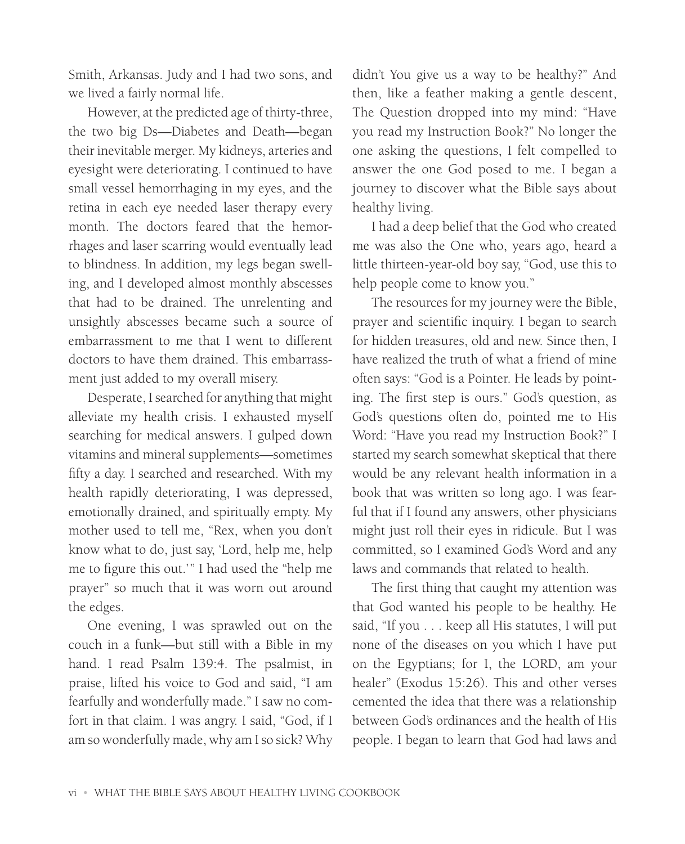Smith, Arkansas. Judy and I had two sons, and we lived a fairly normal life.

However, at the predicted age of thirty-three, the two big Ds—Diabetes and Death—began their inevitable merger. My kidneys, arteries and eyesight were deteriorating. I continued to have small vessel hemorrhaging in my eyes, and the retina in each eye needed laser therapy every month. The doctors feared that the hemorrhages and laser scarring would eventually lead to blindness. In addition, my legs began swelling, and I developed almost monthly abscesses that had to be drained. The unrelenting and unsightly abscesses became such a source of embarrassment to me that I went to different doctors to have them drained. This embarrassment just added to my overall misery.

Desperate, I searched for anything that might alleviate my health crisis. I exhausted myself searching for medical answers. I gulped down vitamins and mineral supplements—sometimes fifty a day. I searched and researched. With my health rapidly deteriorating, I was depressed, emotionally drained, and spiritually empty. My mother used to tell me, "Rex, when you don't know what to do, just say, 'Lord, help me, help me to figure this out.'" I had used the "help me prayer" so much that it was worn out around the edges.

One evening, I was sprawled out on the couch in a funk—but still with a Bible in my hand. I read Psalm 139:4. The psalmist, in praise, lifted his voice to God and said, "I am fearfully and wonderfully made." I saw no comfort in that claim. I was angry. I said, "God, if I am so wonderfully made, why am I so sick? Why

didn't You give us a way to be healthy?" And then, like a feather making a gentle descent, The Question dropped into my mind: "Have you read my Instruction Book?" No longer the one asking the questions, I felt compelled to answer the one God posed to me. I began a journey to discover what the Bible says about healthy living.

I had a deep belief that the God who created me was also the One who, years ago, heard a little thirteen-year-old boy say, "God, use this to help people come to know you."

The resources for my journey were the Bible, prayer and scientific inquiry. I began to search for hidden treasures, old and new. Since then, I have realized the truth of what a friend of mine often says: "God is a Pointer. He leads by pointing. The first step is ours." God's question, as God's questions often do, pointed me to His Word: "Have you read my Instruction Book?" I started my search somewhat skeptical that there would be any relevant health information in a book that was written so long ago. I was fearful that if I found any answers, other physicians might just roll their eyes in ridicule. But I was committed, so I examined God's Word and any laws and commands that related to health.

The first thing that caught my attention was that God wanted his people to be healthy. He said, "If you . . . keep all His statutes, I will put none of the diseases on you which I have put on the Egyptians; for I, the LORD, am your healer" (Exodus 15:26). This and other verses cemented the idea that there was a relationship between God's ordinances and the health of His people. I began to learn that God had laws and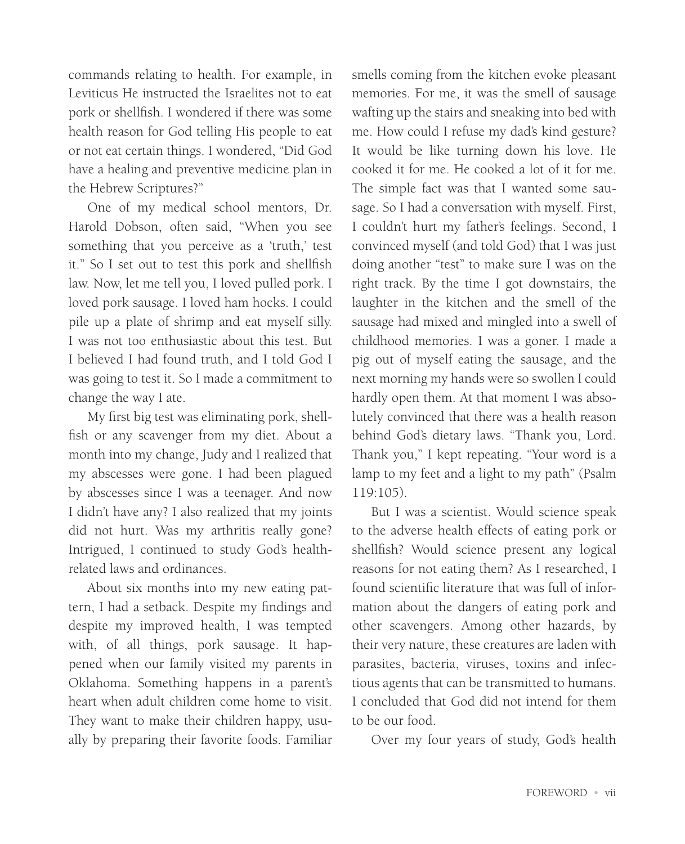commands relating to health. For example, in Leviticus He instructed the Israelites not to eat pork or shellfish. I wondered if there was some health reason for God telling His people to eat or not eat certain things. I wondered, "Did God have a healing and preventive medicine plan in the Hebrew Scriptures?"

One of my medical school mentors, Dr. Harold Dobson, often said, "When you see something that you perceive as a 'truth,' test it." So I set out to test this pork and shellfish law. Now, let me tell you, I loved pulled pork. I loved pork sausage. I loved ham hocks. I could pile up a plate of shrimp and eat myself silly. I was not too enthusiastic about this test. But I believed I had found truth, and I told God I was going to test it. So I made a commitment to change the way I ate.

My first big test was eliminating pork, shellfish or any scavenger from my diet. About a month into my change, Judy and I realized that my abscesses were gone. I had been plagued by abscesses since I was a teenager. And now I didn't have any? I also realized that my joints did not hurt. Was my arthritis really gone? Intrigued, I continued to study God's healthrelated laws and ordinances.

About six months into my new eating pattern, I had a setback. Despite my findings and despite my improved health, I was tempted with, of all things, pork sausage. It happened when our family visited my parents in Oklahoma. Something happens in a parent's heart when adult children come home to visit. They want to make their children happy, usually by preparing their favorite foods. Familiar

smells coming from the kitchen evoke pleasant memories. For me, it was the smell of sausage wafting up the stairs and sneaking into bed with me. How could I refuse my dad's kind gesture? It would be like turning down his love. He cooked it for me. He cooked a lot of it for me. The simple fact was that I wanted some sausage. So I had a conversation with myself. First, I couldn't hurt my father's feelings. Second, I convinced myself (and told God) that I was just doing another "test" to make sure I was on the right track. By the time I got downstairs, the laughter in the kitchen and the smell of the sausage had mixed and mingled into a swell of childhood memories. I was a goner. I made a pig out of myself eating the sausage, and the next morning my hands were so swollen I could hardly open them. At that moment I was absolutely convinced that there was a health reason behind God's dietary laws. "Thank you, Lord. Thank you," I kept repeating. "Your word is a lamp to my feet and a light to my path" (Psalm 119:105).

But I was a scientist. Would science speak to the adverse health effects of eating pork or shellfish? Would science present any logical reasons for not eating them? As I researched, I found scientific literature that was full of information about the dangers of eating pork and other scavengers. Among other hazards, by their very nature, these creatures are laden with parasites, bacteria, viruses, toxins and infectious agents that can be transmitted to humans. I concluded that God did not intend for them to be our food.

Over my four years of study, God's health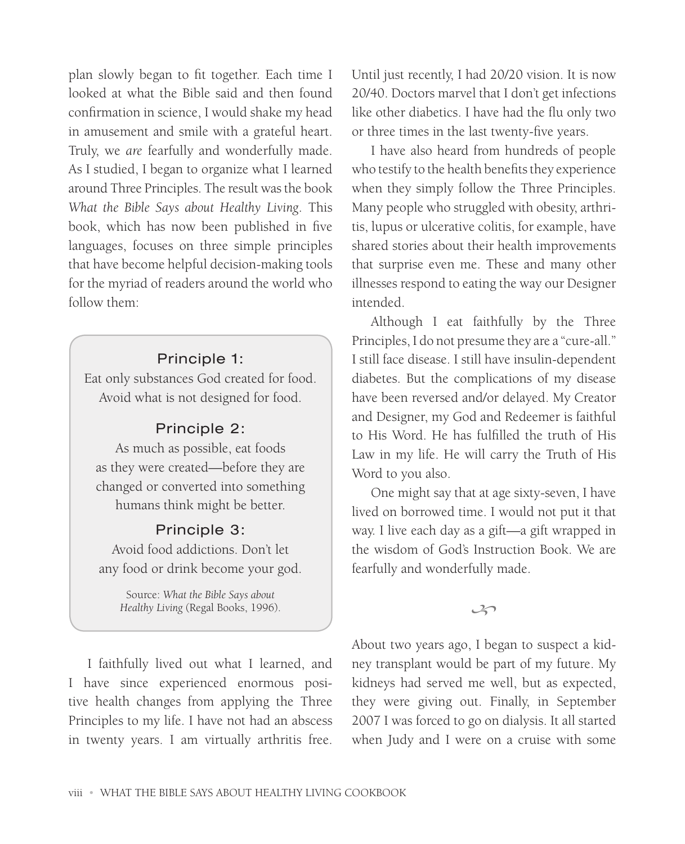plan slowly began to fit together. Each time I looked at what the Bible said and then found confirmation in science, I would shake my head in amusement and smile with a grateful heart. Truly, we *are* fearfully and wonderfully made. As I studied, I began to organize what I learned around Three Principles. The result was the book *What the Bible Says about Healthy Living*. This book, which has now been published in five languages, focuses on three simple principles that have become helpful decision-making tools for the myriad of readers around the world who follow them:

## Principle 1:

Eat only substances God created for food. Avoid what is not designed for food.

### Principle 2:

As much as possible, eat foods as they were created—before they are changed or converted into something humans think might be better.

#### Principle 3:

Avoid food addictions. Don't let any food or drink become your god.

> Source: *What the Bible Says about Healthy Living* (Regal Books, 1996).

I faithfully lived out what I learned, and I have since experienced enormous positive health changes from applying the Three Principles to my life. I have not had an abscess in twenty years. I am virtually arthritis free.

Until just recently, I had 20/20 vision. It is now 20/40. Doctors marvel that I don't get infections like other diabetics. I have had the flu only two or three times in the last twenty-five years.

I have also heard from hundreds of people who testify to the health benefits they experience when they simply follow the Three Principles. Many people who struggled with obesity, arthritis, lupus or ulcerative colitis, for example, have shared stories about their health improvements that surprise even me. These and many other illnesses respond to eating the way our Designer intended.

Although I eat faithfully by the Three Principles, I do not presume they are a "cure-all." I still face disease. I still have insulin-dependent diabetes. But the complications of my disease have been reversed and/or delayed. My Creator and Designer, my God and Redeemer is faithful to His Word. He has fulfilled the truth of His Law in my life. He will carry the Truth of His Word to you also.

One might say that at age sixty-seven, I have lived on borrowed time. I would not put it that way. I live each day as a gift—a gift wrapped in the wisdom of God's Instruction Book. We are fearfully and wonderfully made.

#### $\mathcal{L}\cap$

About two years ago, I began to suspect a kidney transplant would be part of my future. My kidneys had served me well, but as expected, they were giving out. Finally, in September 2007 I was forced to go on dialysis. It all started when Judy and I were on a cruise with some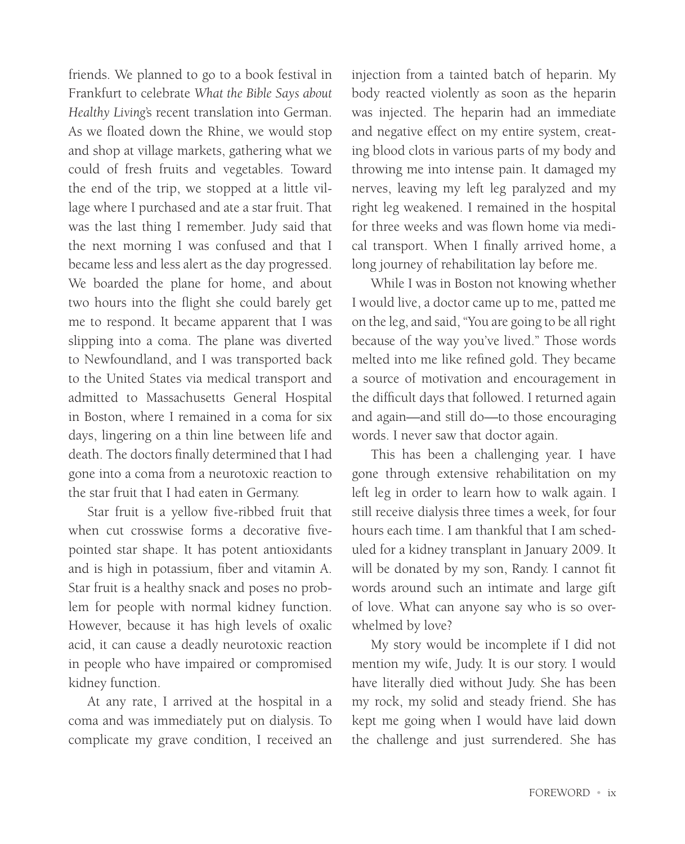friends. We planned to go to a book festival in Frankfurt to celebrate *What the Bible Says about Healthy Living*'s recent translation into German. As we floated down the Rhine, we would stop and shop at village markets, gathering what we could of fresh fruits and vegetables. Toward the end of the trip, we stopped at a little village where I purchased and ate a star fruit. That was the last thing I remember. Judy said that the next morning I was confused and that I became less and less alert as the day progressed. We boarded the plane for home, and about two hours into the flight she could barely get me to respond. It became apparent that I was slipping into a coma. The plane was diverted to Newfoundland, and I was transported back to the United States via medical transport and admitted to Massachusetts General Hospital in Boston, where I remained in a coma for six days, lingering on a thin line between life and death. The doctors finally determined that I had gone into a coma from a neurotoxic reaction to the star fruit that I had eaten in Germany.

Star fruit is a yellow five-ribbed fruit that when cut crosswise forms a decorative fivepointed star shape. It has potent antioxidants and is high in potassium, fiber and vitamin A. Star fruit is a healthy snack and poses no problem for people with normal kidney function. However, because it has high levels of oxalic acid, it can cause a deadly neurotoxic reaction in people who have impaired or compromised kidney function.

At any rate, I arrived at the hospital in a coma and was immediately put on dialysis. To complicate my grave condition, I received an

injection from a tainted batch of heparin. My body reacted violently as soon as the heparin was injected. The heparin had an immediate and negative effect on my entire system, creating blood clots in various parts of my body and throwing me into intense pain. It damaged my nerves, leaving my left leg paralyzed and my right leg weakened. I remained in the hospital for three weeks and was flown home via medical transport. When I finally arrived home, a long journey of rehabilitation lay before me.

While I was in Boston not knowing whether I would live, a doctor came up to me, patted me on the leg, and said, "You are going to be all right because of the way you've lived." Those words melted into me like refined gold. They became a source of motivation and encouragement in the difficult days that followed. I returned again and again—and still do—to those encouraging words. I never saw that doctor again.

This has been a challenging year. I have gone through extensive rehabilitation on my left leg in order to learn how to walk again. I still receive dialysis three times a week, for four hours each time. I am thankful that I am scheduled for a kidney transplant in January 2009. It will be donated by my son, Randy. I cannot fit words around such an intimate and large gift of love. What can anyone say who is so overwhelmed by love?

My story would be incomplete if I did not mention my wife, Judy. It is our story. I would have literally died without Judy. She has been my rock, my solid and steady friend. She has kept me going when I would have laid down the challenge and just surrendered. She has